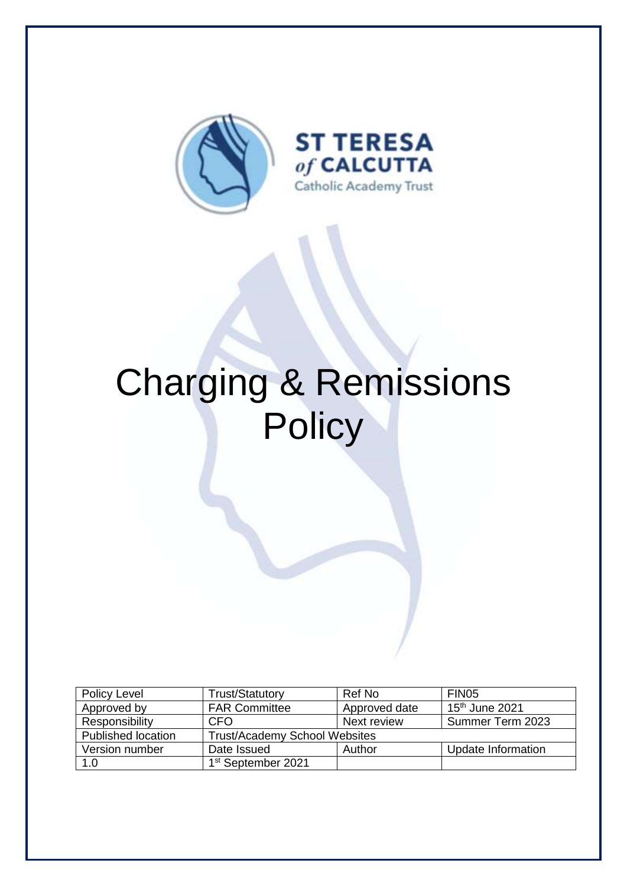

# Charging & Remissions **Policy**

| Policy Level              | <b>Trust/Statutory</b>               | Ref No        | FIN <sub>05</sub>  |
|---------------------------|--------------------------------------|---------------|--------------------|
| Approved by               | <b>FAR Committee</b>                 | Approved date | $15th$ June 2021   |
| Responsibility            | CFO                                  | Next review   | Summer Term 2023   |
| <b>Published location</b> | <b>Trust/Academy School Websites</b> |               |                    |
| Version number            | Date Issued                          | Author        | Update Information |
| 1.0                       | 1 <sup>st</sup> September 2021       |               |                    |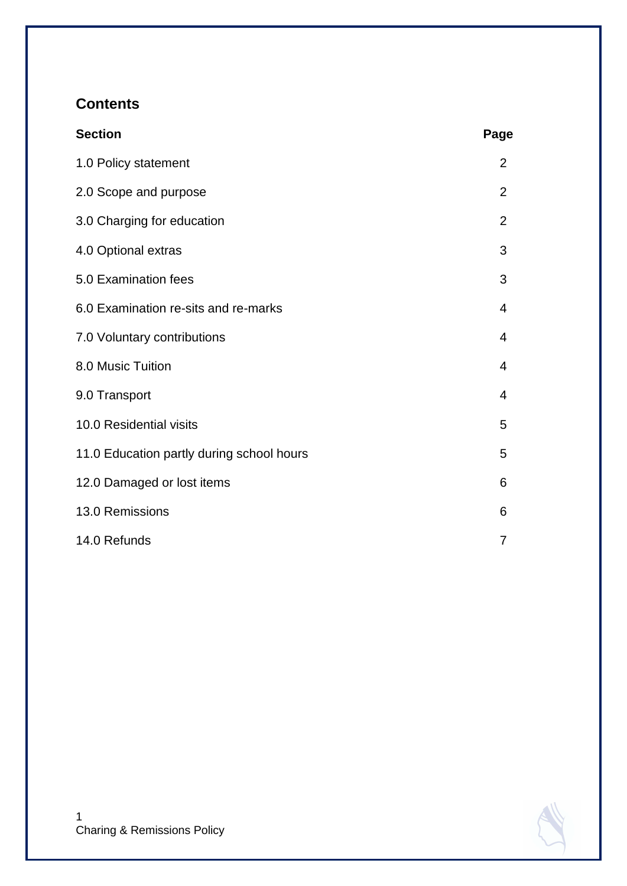# **Contents**

| <b>Section</b>                            | Page           |
|-------------------------------------------|----------------|
| 1.0 Policy statement                      | 2              |
| 2.0 Scope and purpose                     | $\overline{2}$ |
| 3.0 Charging for education                | $\overline{2}$ |
| 4.0 Optional extras                       | 3              |
| 5.0 Examination fees                      | 3              |
| 6.0 Examination re-sits and re-marks      | 4              |
| 7.0 Voluntary contributions               | 4              |
| 8.0 Music Tuition                         | 4              |
| 9.0 Transport                             | 4              |
| 10.0 Residential visits                   | 5              |
| 11.0 Education partly during school hours |                |
| 12.0 Damaged or lost items                | 6              |
| 13.0 Remissions                           |                |
| 14.0 Refunds                              | 7              |

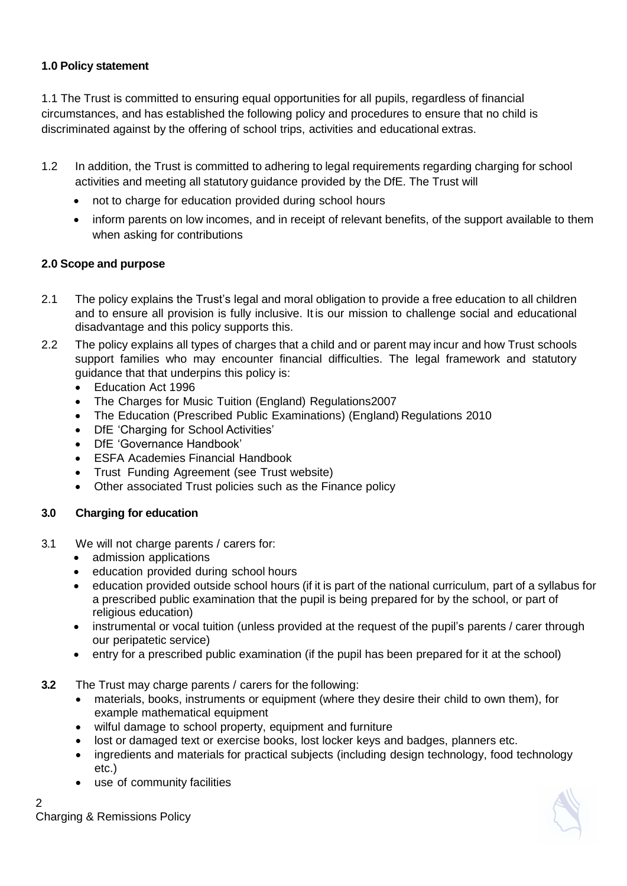## **1.0 Policy statement**

1.1 The Trust is committed to ensuring equal opportunities for all pupils, regardless of financial circumstances, and has established the following policy and procedures to ensure that no child is discriminated against by the offering of school trips, activities and educational extras.

- 1.2 In addition, the Trust is committed to adhering to legal requirements regarding charging for school activities and meeting all statutory guidance provided by the DfE. The Trust will
	- not to charge for education provided during school hours
	- inform parents on low incomes, and in receipt of relevant benefits, of the support available to them when asking for contributions

# **2.0 Scope and purpose**

- 2.1 The policy explains the Trust's legal and moral obligation to provide a free education to all children and to ensure all provision is fully inclusive. It is our mission to challenge social and educational disadvantage and this policy supports this.
- 2.2 The policy explains all types of charges that a child and or parent may incur and how Trust schools support families who may encounter financial difficulties. The legal framework and statutory guidance that that underpins this policy is:
	- Education Act 1996
	- The Charges for Music Tuition (England) Regulations2007
	- The Education (Prescribed Public Examinations) (England) Regulations 2010
	- DfE 'Charging for School Activities'
	- DfE 'Governance Handbook'
	- ESFA Academies Financial Handbook
	- Trust Funding Agreement (see Trust website)
	- Other associated Trust policies such as the Finance policy

## **3.0 Charging for education**

- 3.1 We will not charge parents / carers for:
	- admission applications
	- education provided during school hours
	- education provided outside school hours (if it is part of the national curriculum, part of a syllabus for a prescribed public examination that the pupil is being prepared for by the school, or part of religious education)
	- instrumental or vocal tuition (unless provided at the request of the pupil's parents / carer through our peripatetic service)
	- entry for a prescribed public examination (if the pupil has been prepared for it at the school)
- **3.2** The Trust may charge parents / carers for the following:
	- materials, books, instruments or equipment (where they desire their child to own them), for example mathematical equipment
	- wilful damage to school property, equipment and furniture
	- lost or damaged text or exercise books, lost locker keys and badges, planners etc.
	- ingredients and materials for practical subjects (including design technology, food technology etc.)
	- use of community facilities

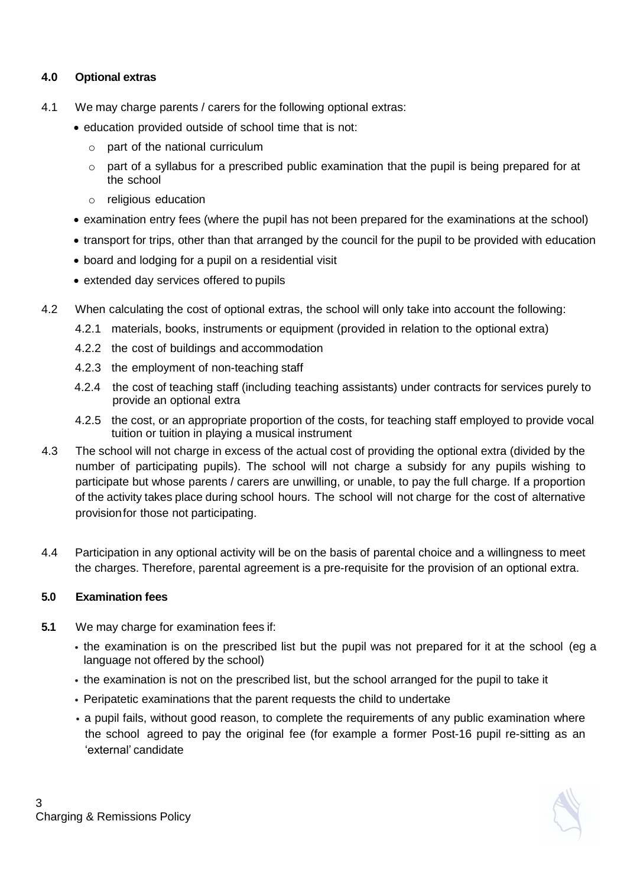### **4.0 Optional extras**

- 4.1 We may charge parents / carers for the following optional extras:
	- education provided outside of school time that is not:
		- o part of the national curriculum
		- o part of a syllabus for a prescribed public examination that the pupil is being prepared for at the school
		- o religious education
	- examination entry fees (where the pupil has not been prepared for the examinations at the school)
	- transport for trips, other than that arranged by the council for the pupil to be provided with education
	- board and lodging for a pupil on a residential visit
	- extended day services offered to pupils
- 4.2 When calculating the cost of optional extras, the school will only take into account the following:
	- 4.2.1 materials, books, instruments or equipment (provided in relation to the optional extra)
	- 4.2.2 the cost of buildings and accommodation
	- 4.2.3 the employment of non-teaching staff
	- 4.2.4 the cost of teaching staff (including teaching assistants) under contracts for services purely to provide an optional extra
	- 4.2.5 the cost, or an appropriate proportion of the costs, for teaching staff employed to provide vocal tuition or tuition in playing a musical instrument
- 4.3 The school will not charge in excess of the actual cost of providing the optional extra (divided by the number of participating pupils). The school will not charge a subsidy for any pupils wishing to participate but whose parents / carers are unwilling, or unable, to pay the full charge. If a proportion of the activity takes place during school hours. The school will not charge for the cost of alternative provisionfor those not participating.
- 4.4 Participation in any optional activity will be on the basis of parental choice and a willingness to meet the charges. Therefore, parental agreement is a pre-requisite for the provision of an optional extra.

#### **5.0 Examination fees**

- **5.1** We may charge for examination fees if:
	- the examination is on the prescribed list but the pupil was not prepared for it at the school (eg a language not offered by the school)
	- the examination is not on the prescribed list, but the school arranged for the pupil to take it
	- Peripatetic examinations that the parent requests the child to undertake
	- a pupil fails, without good reason, to complete the requirements of any public examination where the school agreed to pay the original fee (for example a former Post-16 pupil re-sitting as an 'external' candidate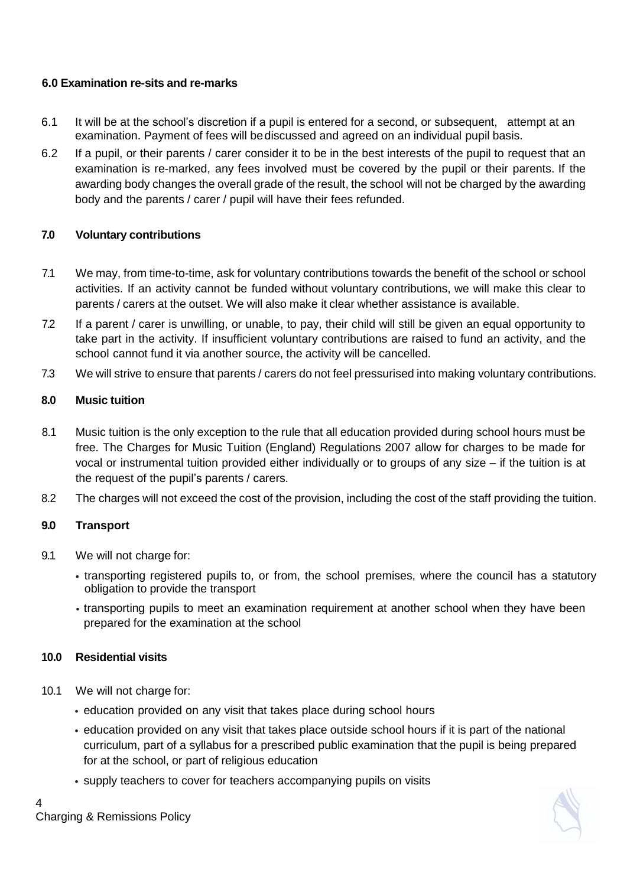## **6.0 Examination re-sits and re-marks**

- 6.1 It will be at the school's discretion if a pupil is entered for a second, or subsequent, attempt at an examination. Payment of fees will bediscussed and agreed on an individual pupil basis.
- 6.2 If a pupil, or their parents / carer consider it to be in the best interests of the pupil to request that an examination is re-marked, any fees involved must be covered by the pupil or their parents. If the awarding body changes the overall grade of the result, the school will not be charged by the awarding body and the parents / carer / pupil will have their fees refunded.

## **7.0 Voluntary contributions**

- 7.1 We may, from time-to-time, ask for voluntary contributions towards the benefit of the school or school activities. If an activity cannot be funded without voluntary contributions, we will make this clear to parents / carers at the outset. We will also make it clear whether assistance is available.
- 7.2 If a parent / carer is unwilling, or unable, to pay, their child will still be given an equal opportunity to take part in the activity. If insufficient voluntary contributions are raised to fund an activity, and the school cannot fund it via another source, the activity will be cancelled.
- 7.3 We will strive to ensure that parents / carers do not feel pressurised into making voluntary contributions.

# **8.0 Music tuition**

- 8.1 Music tuition is the only exception to the rule that all education provided during school hours must be free. The Charges for Music Tuition (England) Regulations 2007 allow for charges to be made for vocal or instrumental tuition provided either individually or to groups of any size – if the tuition is at the request of the pupil's parents / carers.
- 8.2 The charges will not exceed the cost of the provision, including the cost of the staff providing the tuition.

# **9.0 Transport**

- 9.1 We will not charge for:
	- transporting registered pupils to, or from, the school premises, where the council has a statutory obligation to provide the transport
	- transporting pupils to meet an examination requirement at another school when they have been prepared for the examination at the school

## **10.0 Residential visits**

- 10.1 We will not charge for:
	- education provided on any visit that takes place during school hours
	- education provided on any visit that takes place outside school hours if it is part of the national curriculum, part of a syllabus for a prescribed public examination that the pupil is being prepared for at the school, or part of religious education
	- supply teachers to cover for teachers accompanying pupils on visits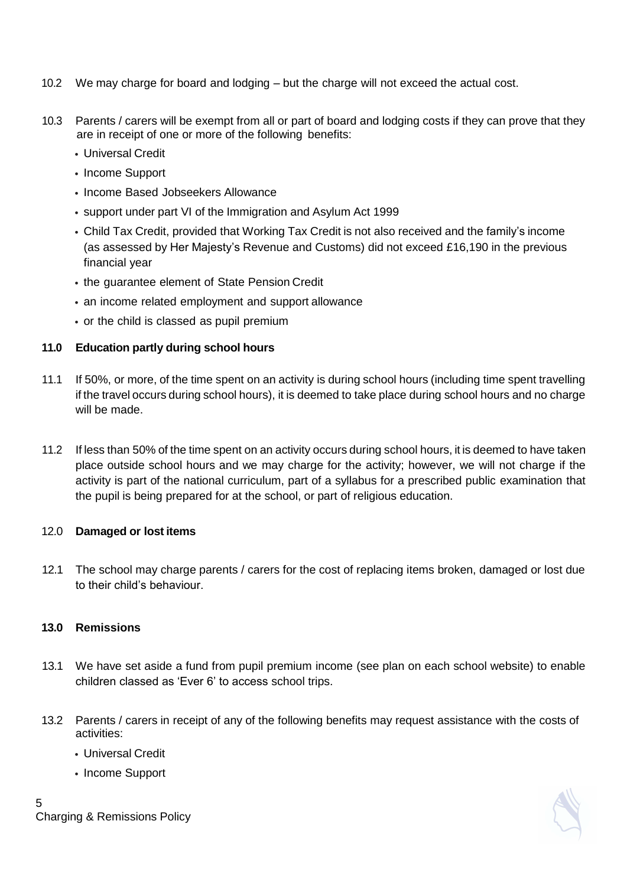- 10.2 We may charge for board and lodging but the charge will not exceed the actual cost.
- 10.3 Parents / carers will be exempt from all or part of board and lodging costs if they can prove that they are in receipt of one or more of the following benefits:
	- Universal Credit
	- Income Support
	- Income Based Jobseekers Allowance
	- support under part VI of the Immigration and Asylum Act 1999
	- Child Tax Credit, provided that Working Tax Credit is not also received and the family's income (as assessed by Her Majesty's Revenue and Customs) did not exceed £16,190 in the previous financial year
	- the guarantee element of State Pension Credit
	- an income related employment and support allowance
	- or the child is classed as pupil premium

#### **11.0 Education partly during school hours**

- 11.1 If 50%, or more, of the time spent on an activity is during school hours (including time spent travelling if the travel occurs during school hours), it is deemed to take place during school hours and no charge will be made.
- 11.2 If less than 50% of the time spent on an activity occurs during school hours, it is deemed to have taken place outside school hours and we may charge for the activity; however, we will not charge if the activity is part of the national curriculum, part of a syllabus for a prescribed public examination that the pupil is being prepared for at the school, or part of religious education.

#### 12.0 **Damaged or lost items**

12.1 The school may charge parents / carers for the cost of replacing items broken, damaged or lost due to their child's behaviour.

#### **13.0 Remissions**

- 13.1 We have set aside a fund from pupil premium income (see plan on each school website) to enable children classed as 'Ever 6' to access school trips.
- 13.2 Parents / carers in receipt of any of the following benefits may request assistance with the costs of activities:
	- Universal Credit
	- Income Support